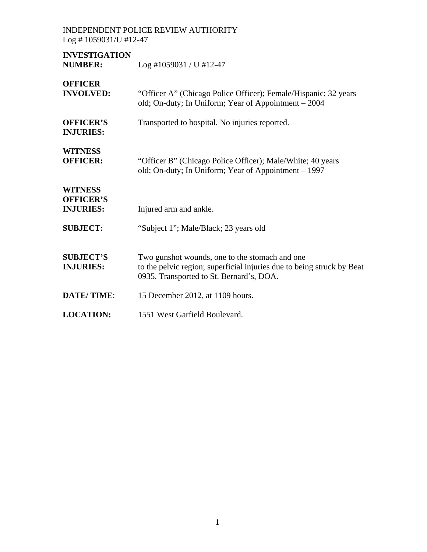**INVESTIGATION**  Log #1059031 / U #12-47

| <b>OFFICER</b><br><b>INVOLVED:</b>                     | "Officer A" (Chicago Police Officer); Female/Hispanic; 32 years<br>old; On-duty; In Uniform; Year of Appointment – 2004                                              |
|--------------------------------------------------------|----------------------------------------------------------------------------------------------------------------------------------------------------------------------|
| <b>OFFICER'S</b><br><b>INJURIES:</b>                   | Transported to hospital. No injuries reported.                                                                                                                       |
| <b>WITNESS</b><br><b>OFFICER:</b>                      | "Officer B" (Chicago Police Officer); Male/White; 40 years<br>old; On-duty; In Uniform; Year of Appointment – 1997                                                   |
| <b>WITNESS</b><br><b>OFFICER'S</b><br><b>INJURIES:</b> | Injured arm and ankle.                                                                                                                                               |
| <b>SUBJECT:</b>                                        | "Subject 1"; Male/Black; 23 years old                                                                                                                                |
| <b>SUBJECT'S</b><br><b>INJURIES:</b>                   | Two gunshot wounds, one to the stomach and one<br>to the pelvic region; superficial injuries due to being struck by Beat<br>0935. Transported to St. Bernard's, DOA. |
| <b>DATE/TIME:</b>                                      | 15 December 2012, at 1109 hours.                                                                                                                                     |
| <b>LOCATION:</b>                                       | 1551 West Garfield Boulevard.                                                                                                                                        |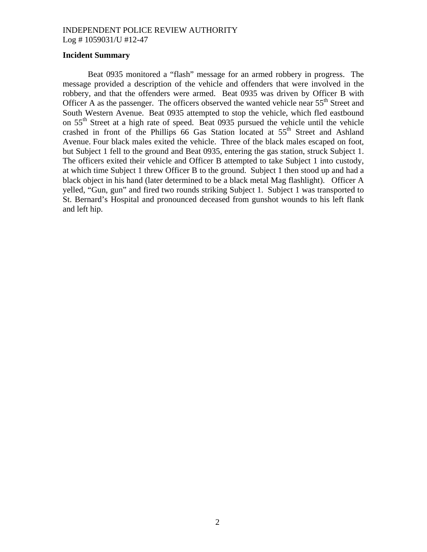### **Incident Summary**

Beat 0935 monitored a "flash" message for an armed robbery in progress. The message provided a description of the vehicle and offenders that were involved in the robbery, and that the offenders were armed. Beat 0935 was driven by Officer B with Officer A as the passenger. The officers observed the wanted vehicle near 55<sup>th</sup> Street and South Western Avenue. Beat 0935 attempted to stop the vehicle, which fled eastbound on 55<sup>th</sup> Street at a high rate of speed. Beat 0935 pursued the vehicle until the vehicle crashed in front of the Phillips 66 Gas Station located at  $55<sup>th</sup>$  Street and Ashland Avenue. Four black males exited the vehicle. Three of the black males escaped on foot, but Subject 1 fell to the ground and Beat 0935, entering the gas station, struck Subject 1. The officers exited their vehicle and Officer B attempted to take Subject 1 into custody, at which time Subject 1 threw Officer B to the ground. Subject 1 then stood up and had a black object in his hand (later determined to be a black metal Mag flashlight). Officer A yelled, "Gun, gun" and fired two rounds striking Subject 1. Subject 1 was transported to St. Bernard's Hospital and pronounced deceased from gunshot wounds to his left flank and left hip.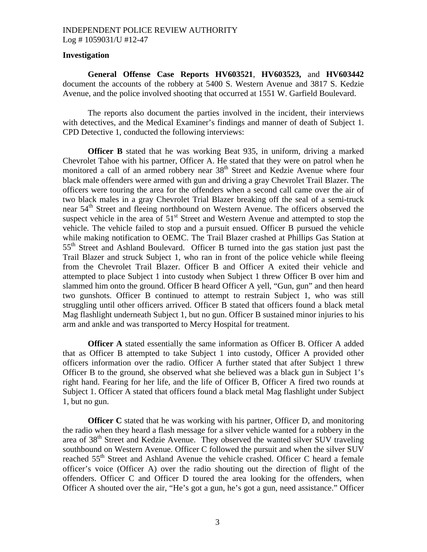### **Investigation**

 **General Offense Case Reports HV603521**, **HV603523,** and **HV603442** document the accounts of the robbery at 5400 S. Western Avenue and 3817 S. Kedzie Avenue, and the police involved shooting that occurred at 1551 W. Garfield Boulevard.

 The reports also document the parties involved in the incident, their interviews with detectives, and the Medical Examiner's findings and manner of death of Subject 1. CPD Detective 1, conducted the following interviews:

**Officer B** stated that he was working Beat 935, in uniform, driving a marked Chevrolet Tahoe with his partner, Officer A. He stated that they were on patrol when he monitored a call of an armed robbery near 38<sup>th</sup> Street and Kedzie Avenue where four black male offenders were armed with gun and driving a gray Chevrolet Trail Blazer. The officers were touring the area for the offenders when a second call came over the air of two black males in a gray Chevrolet Trial Blazer breaking off the seal of a semi-truck near 54<sup>th</sup> Street and fleeing northbound on Western Avenue. The officers observed the suspect vehicle in the area of  $51<sup>st</sup>$  Street and Western Avenue and attempted to stop the vehicle. The vehicle failed to stop and a pursuit ensued. Officer B pursued the vehicle while making notification to OEMC. The Trail Blazer crashed at Phillips Gas Station at 55<sup>th</sup> Street and Ashland Boulevard. Officer B turned into the gas station just past the Trail Blazer and struck Subject 1, who ran in front of the police vehicle while fleeing from the Chevrolet Trail Blazer. Officer B and Officer A exited their vehicle and attempted to place Subject 1 into custody when Subject 1 threw Officer B over him and slammed him onto the ground. Officer B heard Officer A yell, "Gun, gun" and then heard two gunshots. Officer B continued to attempt to restrain Subject 1, who was still struggling until other officers arrived. Officer B stated that officers found a black metal Mag flashlight underneath Subject 1, but no gun. Officer B sustained minor injuries to his arm and ankle and was transported to Mercy Hospital for treatment.

**Officer A** stated essentially the same information as Officer B. Officer A added that as Officer B attempted to take Subject 1 into custody, Officer A provided other officers information over the radio. Officer A further stated that after Subject 1 threw Officer B to the ground, she observed what she believed was a black gun in Subject 1's right hand. Fearing for her life, and the life of Officer B, Officer A fired two rounds at Subject 1. Officer A stated that officers found a black metal Mag flashlight under Subject 1, but no gun.

**Officer C** stated that he was working with his partner, Officer D, and monitoring the radio when they heard a flash message for a silver vehicle wanted for a robbery in the area of 38<sup>th</sup> Street and Kedzie Avenue. They observed the wanted silver SUV traveling southbound on Western Avenue. Officer C followed the pursuit and when the silver SUV reached 55<sup>th</sup> Street and Ashland Avenue the vehicle crashed. Officer C heard a female officer's voice (Officer A) over the radio shouting out the direction of flight of the offenders. Officer C and Officer D toured the area looking for the offenders, when Officer A shouted over the air, "He's got a gun, he's got a gun, need assistance." Officer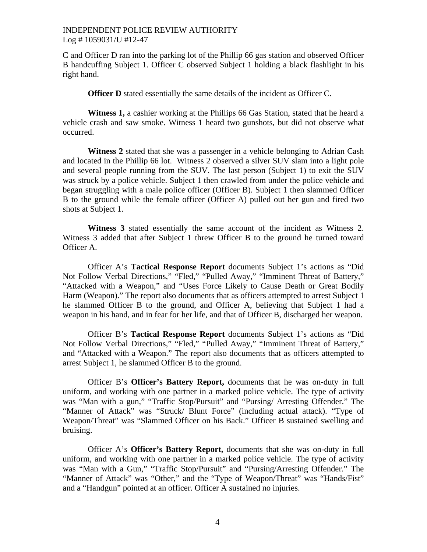C and Officer D ran into the parking lot of the Phillip 66 gas station and observed Officer B handcuffing Subject 1. Officer C observed Subject 1 holding a black flashlight in his right hand.

**Officer D** stated essentially the same details of the incident as Officer C.

**Witness 1,** a cashier working at the Phillips 66 Gas Station, stated that he heard a vehicle crash and saw smoke. Witness 1 heard two gunshots, but did not observe what occurred.

**Witness 2** stated that she was a passenger in a vehicle belonging to Adrian Cash and located in the Phillip 66 lot. Witness 2 observed a silver SUV slam into a light pole and several people running from the SUV. The last person (Subject 1) to exit the SUV was struck by a police vehicle. Subject 1 then crawled from under the police vehicle and began struggling with a male police officer (Officer B). Subject 1 then slammed Officer B to the ground while the female officer (Officer A) pulled out her gun and fired two shots at Subject 1.

**Witness 3** stated essentially the same account of the incident as Witness 2. Witness 3 added that after Subject 1 threw Officer B to the ground he turned toward Officer A.

 Officer A's **Tactical Response Report** documents Subject 1's actions as "Did Not Follow Verbal Directions," "Fled," "Pulled Away," "Imminent Threat of Battery," "Attacked with a Weapon," and "Uses Force Likely to Cause Death or Great Bodily Harm (Weapon)." The report also documents that as officers attempted to arrest Subject 1 he slammed Officer B to the ground, and Officer A, believing that Subject 1 had a weapon in his hand, and in fear for her life, and that of Officer B, discharged her weapon.

 Officer B's **Tactical Response Report** documents Subject 1's actions as "Did Not Follow Verbal Directions," "Fled," "Pulled Away," "Imminent Threat of Battery," and "Attacked with a Weapon." The report also documents that as officers attempted to arrest Subject 1, he slammed Officer B to the ground.

 Officer B's **Officer's Battery Report,** documents that he was on-duty in full uniform, and working with one partner in a marked police vehicle. The type of activity was "Man with a gun," "Traffic Stop/Pursuit" and "Pursing/ Arresting Offender." The "Manner of Attack" was "Struck/ Blunt Force" (including actual attack). "Type of Weapon/Threat" was "Slammed Officer on his Back." Officer B sustained swelling and bruising.

 Officer A's **Officer's Battery Report,** documents that she was on-duty in full uniform, and working with one partner in a marked police vehicle. The type of activity was "Man with a Gun," "Traffic Stop/Pursuit" and "Pursing/Arresting Offender." The "Manner of Attack" was "Other," and the "Type of Weapon/Threat" was "Hands/Fist" and a "Handgun" pointed at an officer. Officer A sustained no injuries.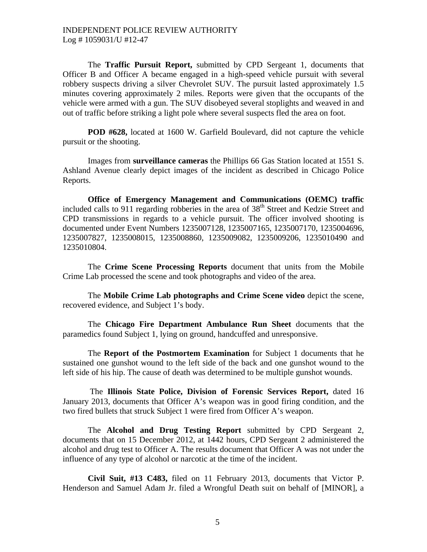The **Traffic Pursuit Report,** submitted by CPD Sergeant 1, documents that Officer B and Officer A became engaged in a high-speed vehicle pursuit with several robbery suspects driving a silver Chevrolet SUV. The pursuit lasted approximately 1.5 minutes covering approximately 2 miles. Reports were given that the occupants of the vehicle were armed with a gun. The SUV disobeyed several stoplights and weaved in and out of traffic before striking a light pole where several suspects fled the area on foot.

**POD #628,** located at 1600 W. Garfield Boulevard, did not capture the vehicle pursuit or the shooting.

 Images from **surveillance cameras** the Phillips 66 Gas Station located at 1551 S. Ashland Avenue clearly depict images of the incident as described in Chicago Police Reports.

**Office of Emergency Management and Communications (OEMC) traffic** included calls to 911 regarding robberies in the area of  $38<sup>th</sup>$  Street and Kedzie Street and CPD transmissions in regards to a vehicle pursuit. The officer involved shooting is documented under Event Numbers 1235007128, 1235007165, 1235007170, 1235004696, 1235007827, 1235008015, 1235008860, 1235009082, 1235009206, 1235010490 and 1235010804.

 The **Crime Scene Processing Reports** document that units from the Mobile Crime Lab processed the scene and took photographs and video of the area.

 The **Mobile Crime Lab photographs and Crime Scene video** depict the scene, recovered evidence, and Subject 1's body.

 The **Chicago Fire Department Ambulance Run Sheet** documents that the paramedics found Subject 1, lying on ground, handcuffed and unresponsive.

 The **Report of the Postmortem Examination** for Subject 1 documents that he sustained one gunshot wound to the left side of the back and one gunshot wound to the left side of his hip. The cause of death was determined to be multiple gunshot wounds.

 The **Illinois State Police, Division of Forensic Services Report,** dated 16 January 2013, documents that Officer A's weapon was in good firing condition, and the two fired bullets that struck Subject 1 were fired from Officer A's weapon.

 The **Alcohol and Drug Testing Report** submitted by CPD Sergeant 2, documents that on 15 December 2012, at 1442 hours, CPD Sergeant 2 administered the alcohol and drug test to Officer A. The results document that Officer A was not under the influence of any type of alcohol or narcotic at the time of the incident.

**Civil Suit, #13 C483,** filed on 11 February 2013, documents that Victor P. Henderson and Samuel Adam Jr. filed a Wrongful Death suit on behalf of [MINOR], a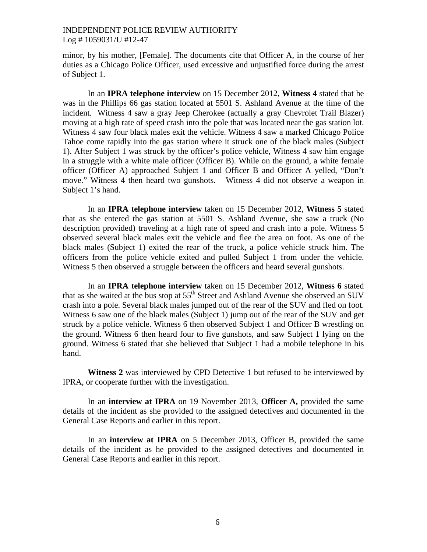minor, by his mother, [Female]. The documents cite that Officer A, in the course of her duties as a Chicago Police Officer, used excessive and unjustified force during the arrest of Subject 1.

 In an **IPRA telephone interview** on 15 December 2012, **Witness 4** stated that he was in the Phillips 66 gas station located at 5501 S. Ashland Avenue at the time of the incident. Witness 4 saw a gray Jeep Cherokee (actually a gray Chevrolet Trail Blazer) moving at a high rate of speed crash into the pole that was located near the gas station lot. Witness 4 saw four black males exit the vehicle. Witness 4 saw a marked Chicago Police Tahoe come rapidly into the gas station where it struck one of the black males (Subject 1). After Subject 1 was struck by the officer's police vehicle, Witness 4 saw him engage in a struggle with a white male officer (Officer B). While on the ground, a white female officer (Officer A) approached Subject 1 and Officer B and Officer A yelled, "Don't move." Witness 4 then heard two gunshots. Witness 4 did not observe a weapon in Subject 1's hand.

 In an **IPRA telephone interview** taken on 15 December 2012, **Witness 5** stated that as she entered the gas station at 5501 S. Ashland Avenue, she saw a truck (No description provided) traveling at a high rate of speed and crash into a pole. Witness 5 observed several black males exit the vehicle and flee the area on foot. As one of the black males (Subject 1) exited the rear of the truck, a police vehicle struck him. The officers from the police vehicle exited and pulled Subject 1 from under the vehicle. Witness 5 then observed a struggle between the officers and heard several gunshots.

 In an **IPRA telephone interview** taken on 15 December 2012, **Witness 6** stated that as she waited at the bus stop at  $55<sup>th</sup>$  Street and Ashland Avenue she observed an SUV crash into a pole. Several black males jumped out of the rear of the SUV and fled on foot. Witness 6 saw one of the black males (Subject 1) jump out of the rear of the SUV and get struck by a police vehicle. Witness 6 then observed Subject 1 and Officer B wrestling on the ground. Witness 6 then heard four to five gunshots, and saw Subject 1 lying on the ground. Witness 6 stated that she believed that Subject 1 had a mobile telephone in his hand.

 **Witness 2** was interviewed by CPD Detective 1 but refused to be interviewed by IPRA, or cooperate further with the investigation.

 In an **interview at IPRA** on 19 November 2013, **Officer A,** provided the same details of the incident as she provided to the assigned detectives and documented in the General Case Reports and earlier in this report.

 In an **interview at IPRA** on 5 December 2013, Officer B, provided the same details of the incident as he provided to the assigned detectives and documented in General Case Reports and earlier in this report.